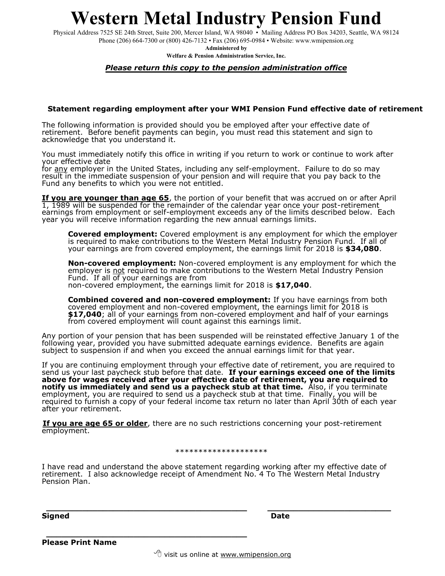## **Western Metal Industry Pension Fund**

Physical Address 7525 SE 24th Street, Suite 200, Mercer Island, WA 98040 • Mailing Address PO Box 34203, Seattle, WA 98124 Phone (206) 664-7300 or (800) 426-7132 • Fax (206) 695-0984 • Website: www.wmipension.org

**Administered by**

**Welfare & Pension Administration Service, Inc.**

### *Please return this copy to the pension administration office*

### **Statement regarding employment after your WMI Pension Fund effective date of retirement**

The following information is provided should you be employed after your effective date of retirement. Before benefit payments can begin, you must read this statement and sign to acknowledge that you understand it.

You must immediately notify this office in writing if you return to work or continue to work after your effective date

for <u>any</u> employer in the United States, including any self-employment. Failure to do so may result in the immediate suspension of your pension and will require that you pay back to the Fund any benefits to which you were not entitled.

**If you are younger than age 65**, the portion of your benefit that was accrued on or after April 1, 1989 will be suspended for the remainder of the calendar year once your post-retirement earnings from employment or self-employment exceeds any of the limits described below. Each year you will receive information regarding the new annual earnings limits.

**Covered employment:** Covered employment is any employment for which the employer is required to make contributions to the Western Metal Industry Pension Fund. If all of your earnings are from covered employment, the earnings limit for 2018 is \$34,080.

**Non-covered employment:** Non-covered employment is any employment for which the employer is not required to make contributions to the Western Metal Industry Pension Fund. If all of your earnings are from non-covered employment, the earnings limit for 2018 is **\$17,040**.

**Combined covered and non-covered employment:** If you have earnings from both covered employment and non-covered employment, the earnings limit for 2018 is **\$17,040**; all of your earnings from non-covered employment and half of your earnings from covered employment will count against this earnings limit.

Any portion of your pension that has been suspended will be reinstated effective January 1 of the following year, provided you have submitted adequate earnings evidence. Benefits are again subject to suspension if and when you exceed the annual earnings limit for that year.

If you are continuing employment through your effective date of retirement, you are required to send us your last paycheck stub before that date. **If your earnings exceed one of the limits above for wages received after your effective date of retirement, you are required to notify us immediately and send us a paycheck stub at that time.** Also, if you terminate employment, you are required to send us a paycheck stub at that time. Finally, you will be required to furnish a copy of your federal income tax return no later than April 30th of each year after your retirement.

**If you are age 65 or older**, there are no such restrictions concerning your post-retirement employment.

#### \*\*\*\*\*\*\*\*\*\*\*\*\*\*\*\*\*\*\*\*

I have read and understand the above statement regarding working after my effective date of retirement. I also acknowledge receipt of Amendment No. 4 To The Western Metal Industry Pension Plan.

**\_\_\_\_\_\_\_\_\_\_\_\_\_\_\_\_\_\_\_\_\_\_\_\_\_\_\_\_\_\_\_\_\_\_\_\_\_\_\_ \_\_\_\_\_\_\_\_\_\_\_\_\_\_\_\_\_\_\_\_\_\_\_\_**

**Signed Date**

**Please Print Name**

**\_\_\_\_\_\_\_\_\_\_\_\_\_\_\_\_\_\_\_\_\_\_\_\_\_\_\_\_\_\_\_\_\_\_\_\_\_\_\_**

 $\sqrt{2}$  visit us online at [www.wmipension.org](http://www.wmipension.org/)